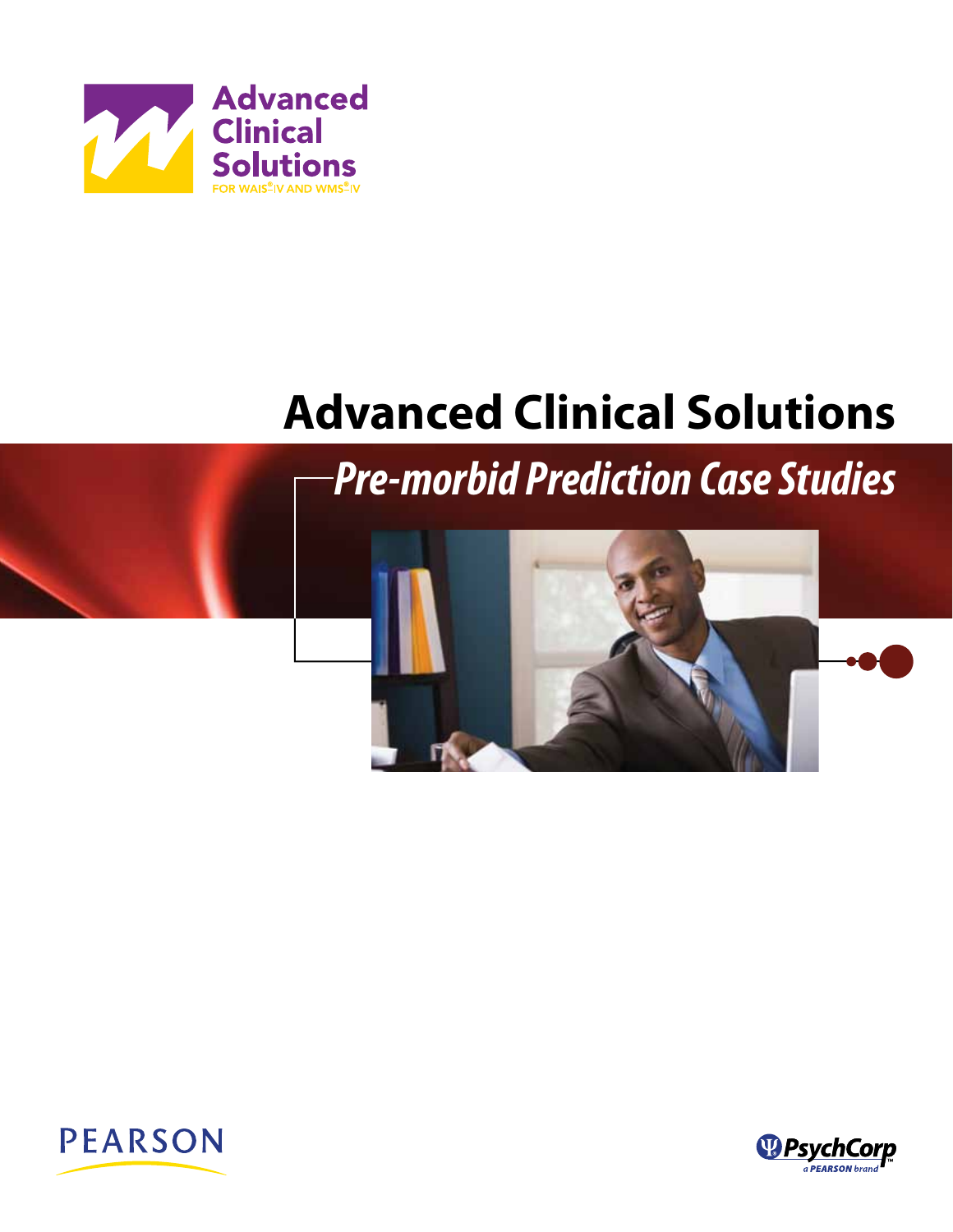

# **Advanced Clinical Solutions**

*Pre-morbid Prediction Case Studies*





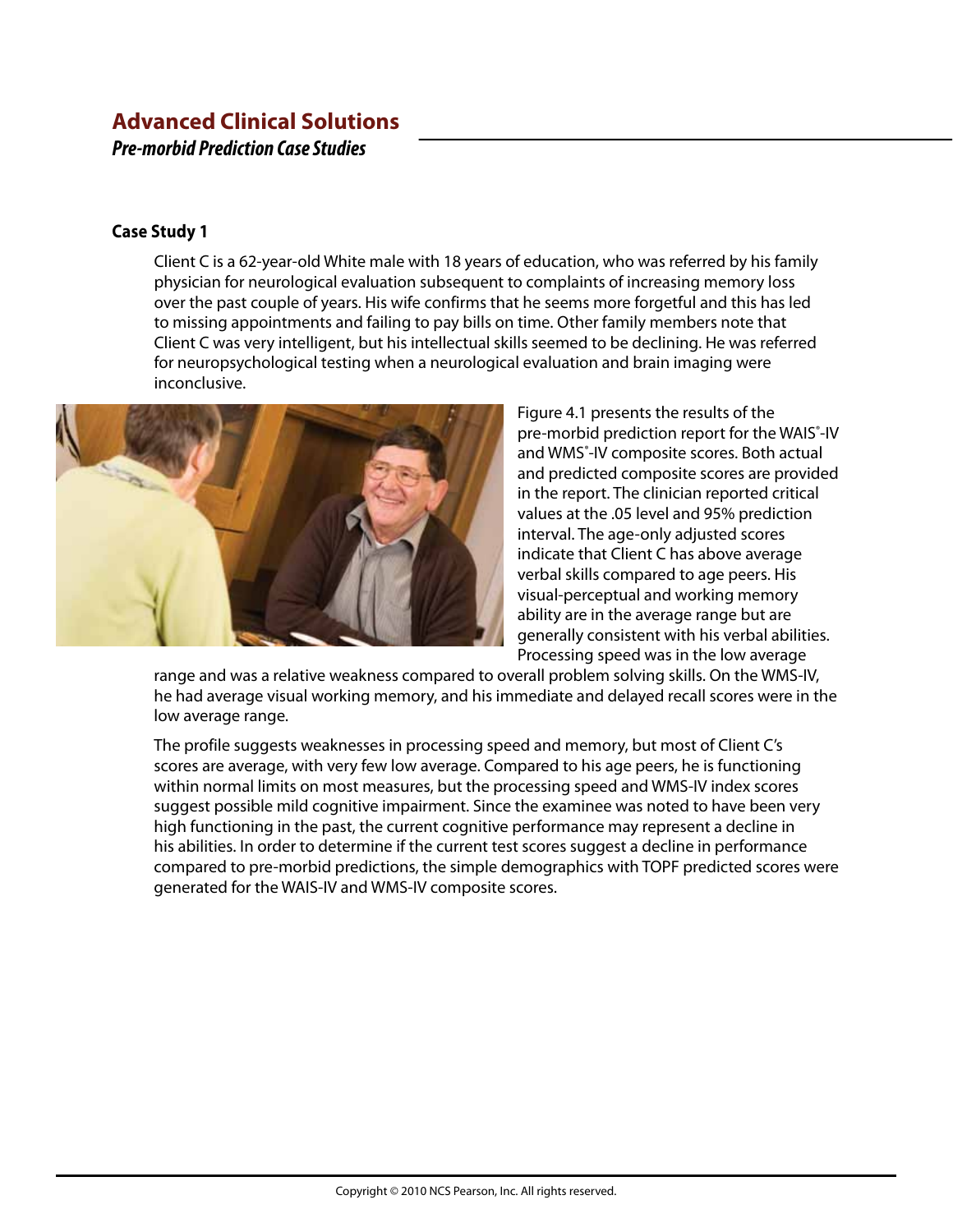# **Advanced Clinical Solutions**  *Pre-morbid Prediction Case Studies*

## **Case Study 1**

Client C is a 62-year-old White male with 18 years of education, who was referred by his family physician for neurological evaluation subsequent to complaints of increasing memory loss over the past couple of years. His wife confirms that he seems more forgetful and this has led to missing appointments and failing to pay bills on time. Other family members note that Client C was very intelligent, but his intellectual skills seemed to be declining. He was referred for neuropsychological testing when a neurological evaluation and brain imaging were inconclusive.



Figure 4.1 presents the results of the pre-morbid prediction report for the WAIS<sup>®</sup>-IV and WMS<sup>®</sup>-IV composite scores. Both actual and predicted composite scores are provided in the report. The clinician reported critical values at the .05 level and 95% prediction interval. The age-only adjusted scores indicate that Client C has above average verbal skills compared to age peers. His visual-perceptual and working memory ability are in the average range but are generally consistent with his verbal abilities. Processing speed was in the low average

range and was a relative weakness compared to overall problem solving skills. On the WMS-IV, he had average visual working memory, and his immediate and delayed recall scores were in the low average range.

The profile suggests weaknesses in processing speed and memory, but most of Client C's scores are average, with very few low average. Compared to his age peers, he is functioning within normal limits on most measures, but the processing speed and WMS-IV index scores suggest possible mild cognitive impairment. Since the examinee was noted to have been very high functioning in the past, the current cognitive performance may represent a decline in his abilities. In order to determine if the current test scores suggest a decline in performance compared to pre-morbid predictions, the simple demographics with TOPF predicted scores were generated for the WAIS-IV and WMS-IV composite scores.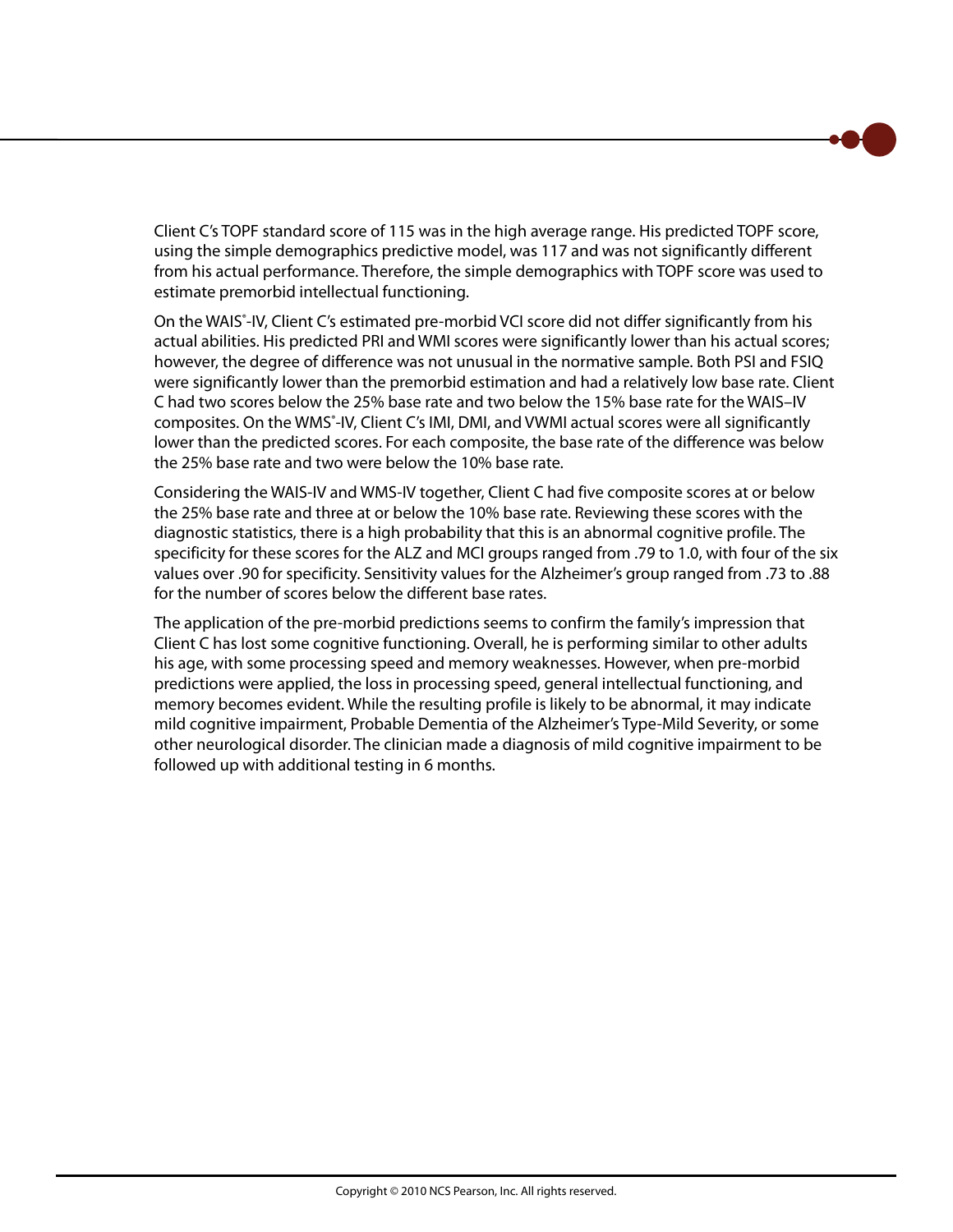Client C's TOPF standard score of 115 was in the high average range. His predicted TOPF score, using the simple demographics predictive model, was 117 and was not significantly different from his actual performance. Therefore, the simple demographics with TOPF score was used to estimate premorbid intellectual functioning.

On the WAIS<sup>®</sup>-IV, Client C's estimated pre-morbid VCI score did not differ significantly from his actual abilities. His predicted PRI and WMI scores were significantly lower than his actual scores; however, the degree of difference was not unusual in the normative sample. Both PSI and FSIQ were significantly lower than the premorbid estimation and had a relatively low base rate. Client C had two scores below the 25% base rate and two below the 15% base rate for the WAIS–IV composites. On the WMS<sup>®</sup>-IV, Client C's IMI, DMI, and VWMI actual scores were all significantly lower than the predicted scores. For each composite, the base rate of the difference was below the 25% base rate and two were below the 10% base rate.

Considering the WAIS-IV and WMS-IV together, Client C had five composite scores at or below the 25% base rate and three at or below the 10% base rate. Reviewing these scores with the diagnostic statistics, there is a high probability that this is an abnormal cognitive profile. The specificity for these scores for the ALZ and MCI groups ranged from .79 to 1.0, with four of the six values over .90 for specificity. Sensitivity values for the Alzheimer's group ranged from .73 to .88 for the number of scores below the different base rates.

The application of the pre-morbid predictions seems to confirm the family's impression that Client C has lost some cognitive functioning. Overall, he is performing similar to other adults his age, with some processing speed and memory weaknesses. However, when pre-morbid predictions were applied, the loss in processing speed, general intellectual functioning, and memory becomes evident. While the resulting profile is likely to be abnormal, it may indicate mild cognitive impairment, Probable Dementia of the Alzheimer's Type-Mild Severity, or some other neurological disorder. The clinician made a diagnosis of mild cognitive impairment to be followed up with additional testing in 6 months.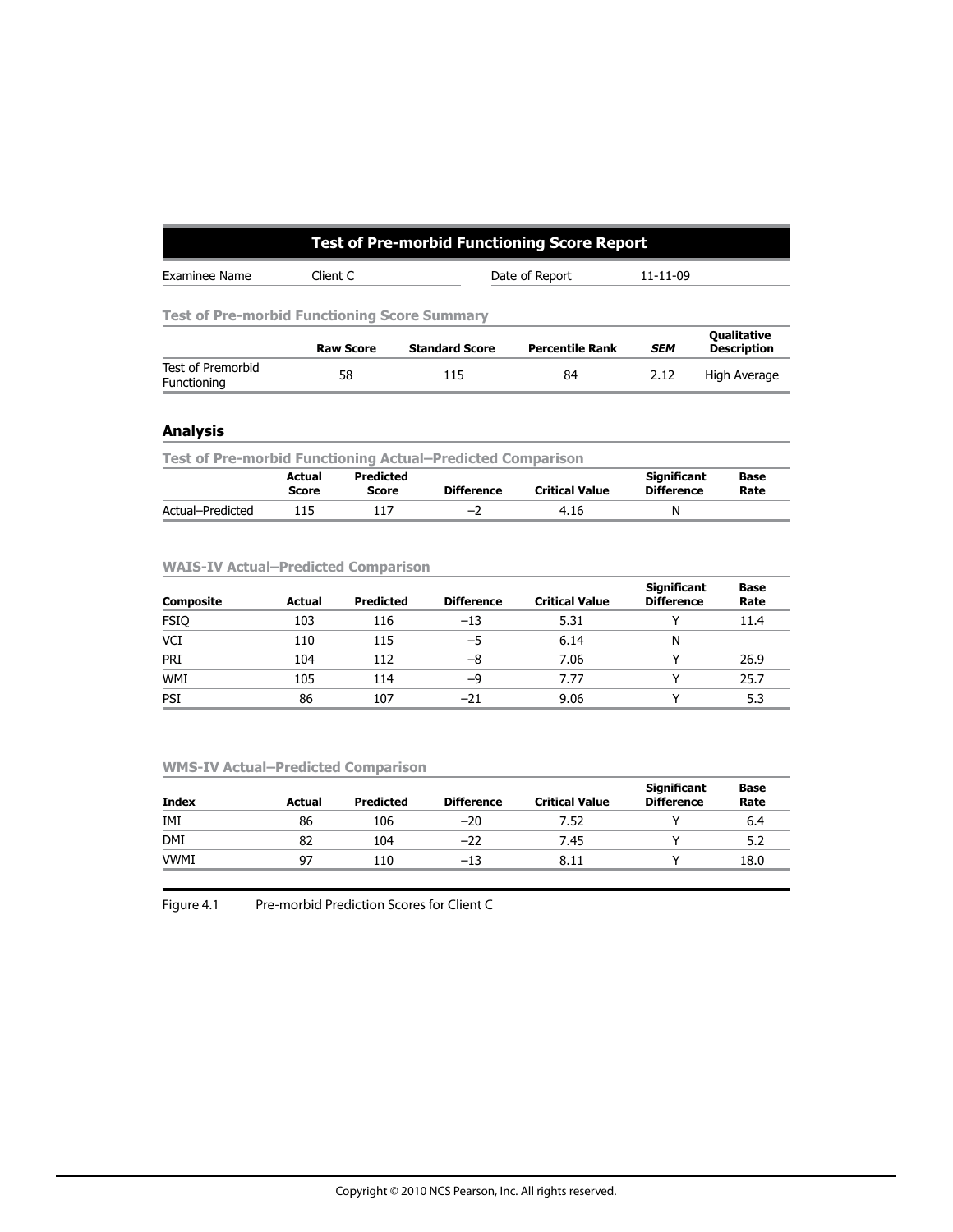# **Test of Pre-morbid Functioning Score Report**

| Examinee Name | lient: | Renort<br>. IATA<br>- 611 | ്<br>-- -- |
|---------------|--------|---------------------------|------------|
|               |        |                           |            |

**Test of Pre-morbid Functioning Score Summary**

|                                  | <b>Raw Score</b> | <b>Standard Score</b> | <b>Percentile Rank</b> | <b>SEM</b> | Qualitative<br>Description |
|----------------------------------|------------------|-----------------------|------------------------|------------|----------------------------|
| Test of Premorbid<br>Functioning | 58               | 115                   | 84                     | 2.12       | High Average               |

## **Analysis**

| <b>Test of Pre-morbid Functioning Actual–Predicted Comparison</b> |                        |                    |                   |                       |                                         |              |  |  |
|-------------------------------------------------------------------|------------------------|--------------------|-------------------|-----------------------|-----------------------------------------|--------------|--|--|
|                                                                   | Actual<br><b>Score</b> | Predicted<br>Score | <b>Difference</b> | <b>Critical Value</b> | <b>Significant</b><br><b>Difference</b> | Base<br>Rate |  |  |
| Actual-Predicted                                                  | 115                    | 117                | $-2$              | 4.16                  | N                                       |              |  |  |

#### **WAIS-IV Actual–Predicted Comparison**

| <b>Composite</b> | Actual | <b>Predicted</b> | <b>Difference</b> | <b>Critical Value</b> | <b>Significant</b><br><b>Difference</b> | Base<br>Rate |
|------------------|--------|------------------|-------------------|-----------------------|-----------------------------------------|--------------|
| <b>FSIQ</b>      | 103    | 116              | $-13$             | 5.31                  |                                         | 11.4         |
| VCI              | 110    | 115              | -5                | 6.14                  | Ν                                       |              |
| PRI              | 104    | 112              | -8                | 7.06                  |                                         | 26.9         |
| <b>WMI</b>       | 105    | 114              | -9                | 7.77                  |                                         | 25.7         |
| PSI              | 86     | 107              | $-21$             | 9.06                  |                                         | 5.3          |

#### **WMS-IV Actual–Predicted Comparison**

| <b>Index</b> | Actual | <b>Predicted</b> | <b>Difference</b> | <b>Critical Value</b> | <b>Significant</b><br><b>Difference</b> | Base<br>Rate |
|--------------|--------|------------------|-------------------|-----------------------|-----------------------------------------|--------------|
| IMI          | 86     | 106              | $-20$             | 7.52                  |                                         | 6.4          |
| <b>DMI</b>   | 82     | 104              | $-22$             | 7.45                  |                                         | 5.2          |
| <b>VWMI</b>  | 97     | 110              | $-13$             | 8.11                  |                                         | 18.0         |

Figure 4.1 Pre-morbid Prediction Scores for Client C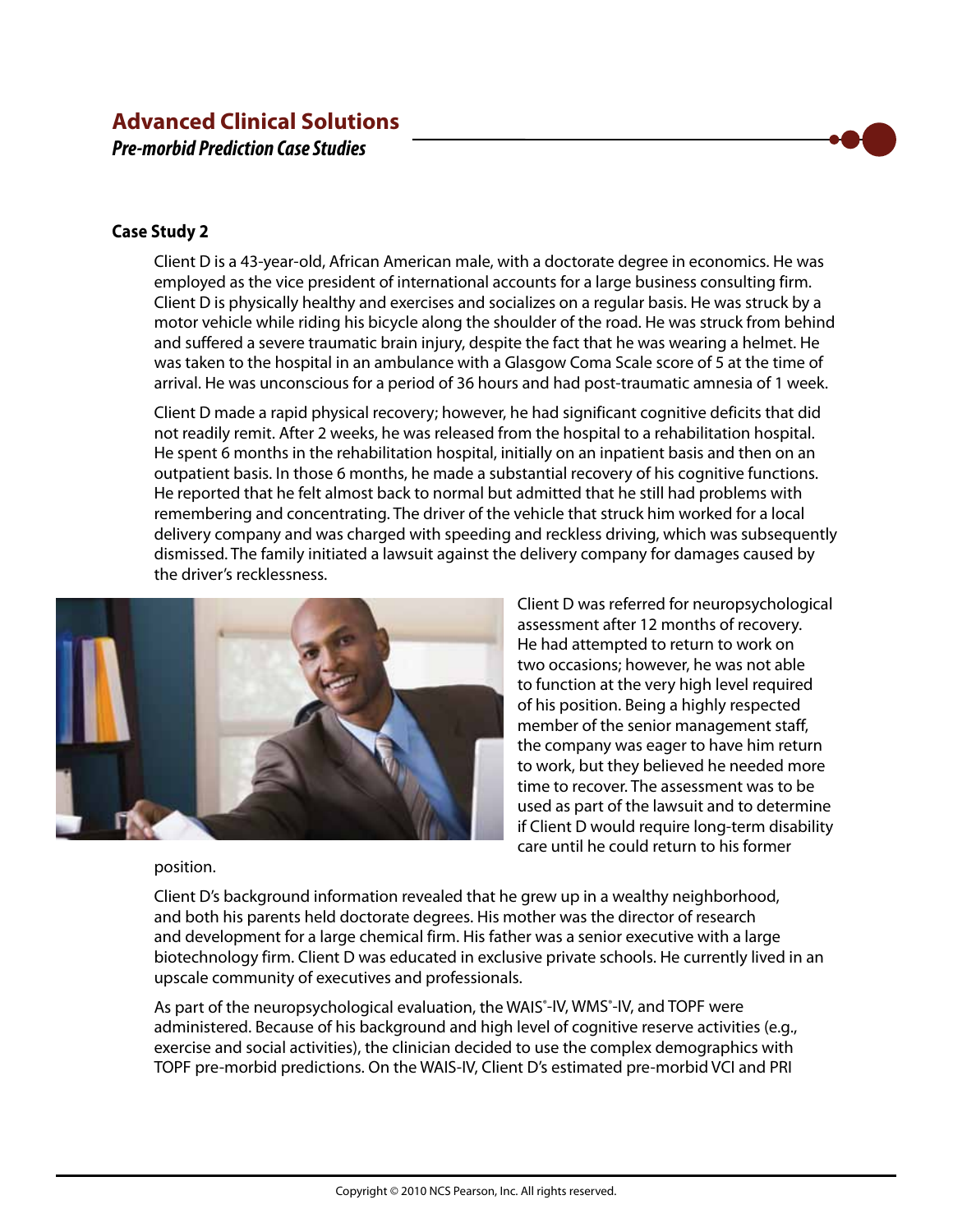# **Advanced Clinical Solutions**  *Pre-morbid Prediction Case Studies*

## **Case Study 2**

Client D is a 43-year-old, African American male, with a doctorate degree in economics. He was employed as the vice president of international accounts for a large business consulting firm. Client D is physically healthy and exercises and socializes on a regular basis. He was struck by a motor vehicle while riding his bicycle along the shoulder of the road. He was struck from behind and suffered a severe traumatic brain injury, despite the fact that he was wearing a helmet. He was taken to the hospital in an ambulance with a Glasgow Coma Scale score of 5 at the time of arrival. He was unconscious for a period of 36 hours and had post-traumatic amnesia of 1 week.

Client D made a rapid physical recovery; however, he had significant cognitive deficits that did not readily remit. After 2 weeks, he was released from the hospital to a rehabilitation hospital. He spent 6 months in the rehabilitation hospital, initially on an inpatient basis and then on an outpatient basis. In those 6 months, he made a substantial recovery of his cognitive functions. He reported that he felt almost back to normal but admitted that he still had problems with remembering and concentrating. The driver of the vehicle that struck him worked for a local delivery company and was charged with speeding and reckless driving, which was subsequently dismissed. The family initiated a lawsuit against the delivery company for damages caused by the driver's recklessness.



Client D was referred for neuropsychological assessment after 12 months of recovery. He had attempted to return to work on two occasions; however, he was not able to function at the very high level required of his position. Being a highly respected member of the senior management staff, the company was eager to have him return to work, but they believed he needed more time to recover. The assessment was to be used as part of the lawsuit and to determine if Client D would require long-term disability care until he could return to his former

### position.

Client D's background information revealed that he grew up in a wealthy neighborhood, and both his parents held doctorate degrees. His mother was the director of research and development for a large chemical firm. His father was a senior executive with a large biotechnology firm. Client D was educated in exclusive private schools. He currently lived in an upscale community of executives and professionals.

As part of the neuropsychological evaluation, the WAIS<sup>®</sup>-IV, WMS<sup>®</sup>-IV, and TOPF were administered. Because of his background and high level of cognitive reserve activities (e.g., exercise and social activities), the clinician decided to use the complex demographics with TOPF pre-morbid predictions. On the WAIS-IV, Client D's estimated pre-morbid VCI and PRI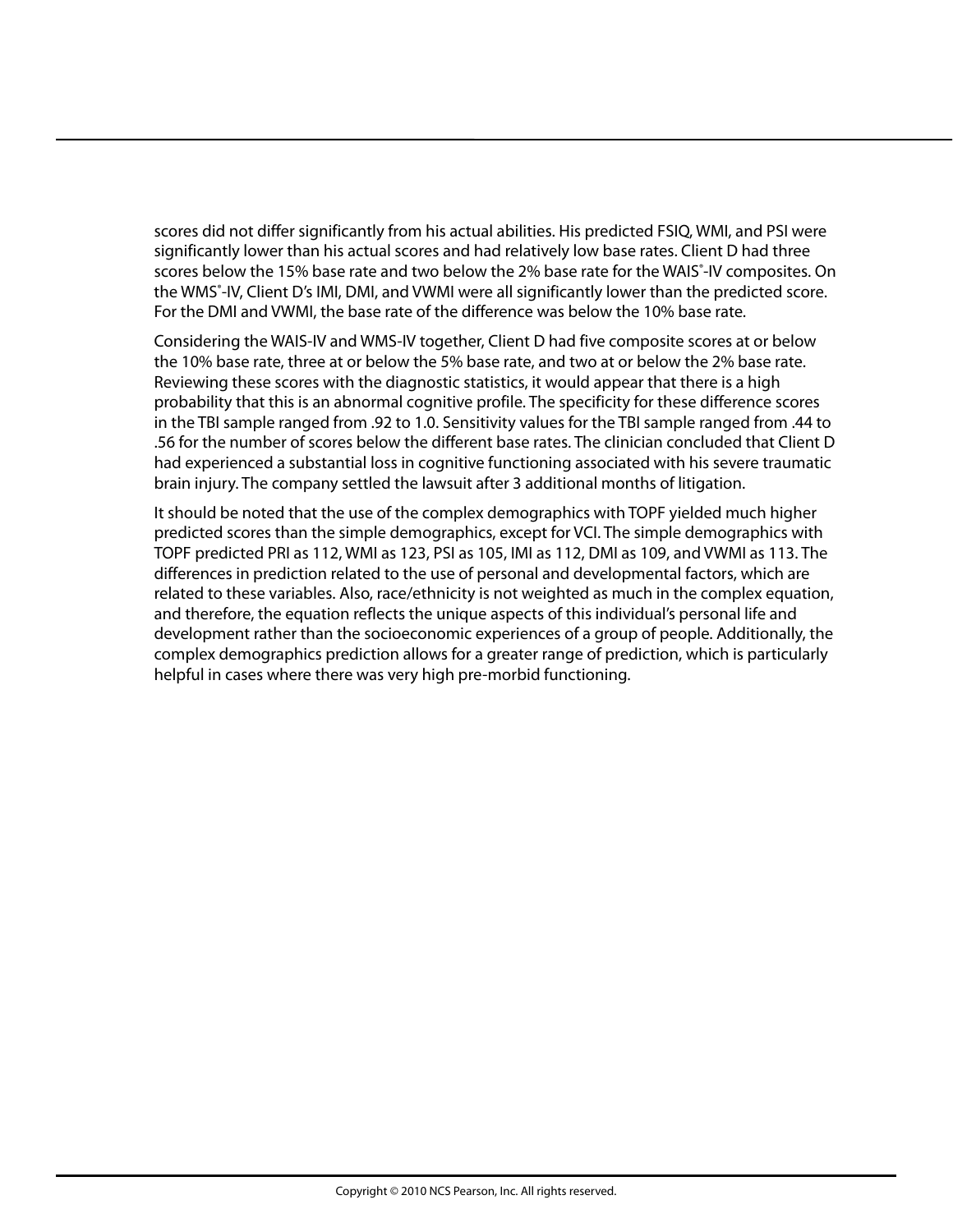scores did not differ significantly from his actual abilities. His predicted FSIQ, WMI, and PSI were significantly lower than his actual scores and had relatively low base rates. Client D had three scores below the 15% base rate and two below the 2% base rate for the WAIS<sup>\*</sup>-IV composites. On the WMS<sup>®</sup>-IV, Client D's IMI, DMI, and VWMI were all significantly lower than the predicted score. For the DMI and VWMI, the base rate of the difference was below the 10% base rate.

Considering the WAIS-IV and WMS-IV together, Client D had five composite scores at or below the 10% base rate, three at or below the 5% base rate, and two at or below the 2% base rate. Reviewing these scores with the diagnostic statistics, it would appear that there is a high probability that this is an abnormal cognitive profile. The specificity for these difference scores in the TBI sample ranged from .92 to 1.0. Sensitivity values for the TBI sample ranged from .44 to .56 for the number of scores below the different base rates. The clinician concluded that Client D had experienced a substantial loss in cognitive functioning associated with his severe traumatic brain injury. The company settled the lawsuit after 3 additional months of litigation.

It should be noted that the use of the complex demographics with TOPF yielded much higher predicted scores than the simple demographics, except for VCI. The simple demographics with TOPF predicted PRI as 112, WMI as 123, PSI as 105, IMI as 112, DMI as 109, and VWMI as 113. The differences in prediction related to the use of personal and developmental factors, which are related to these variables. Also, race/ethnicity is not weighted as much in the complex equation, and therefore, the equation reflects the unique aspects of this individual's personal life and development rather than the socioeconomic experiences of a group of people. Additionally, the complex demographics prediction allows for a greater range of prediction, which is particularly helpful in cases where there was very high pre-morbid functioning.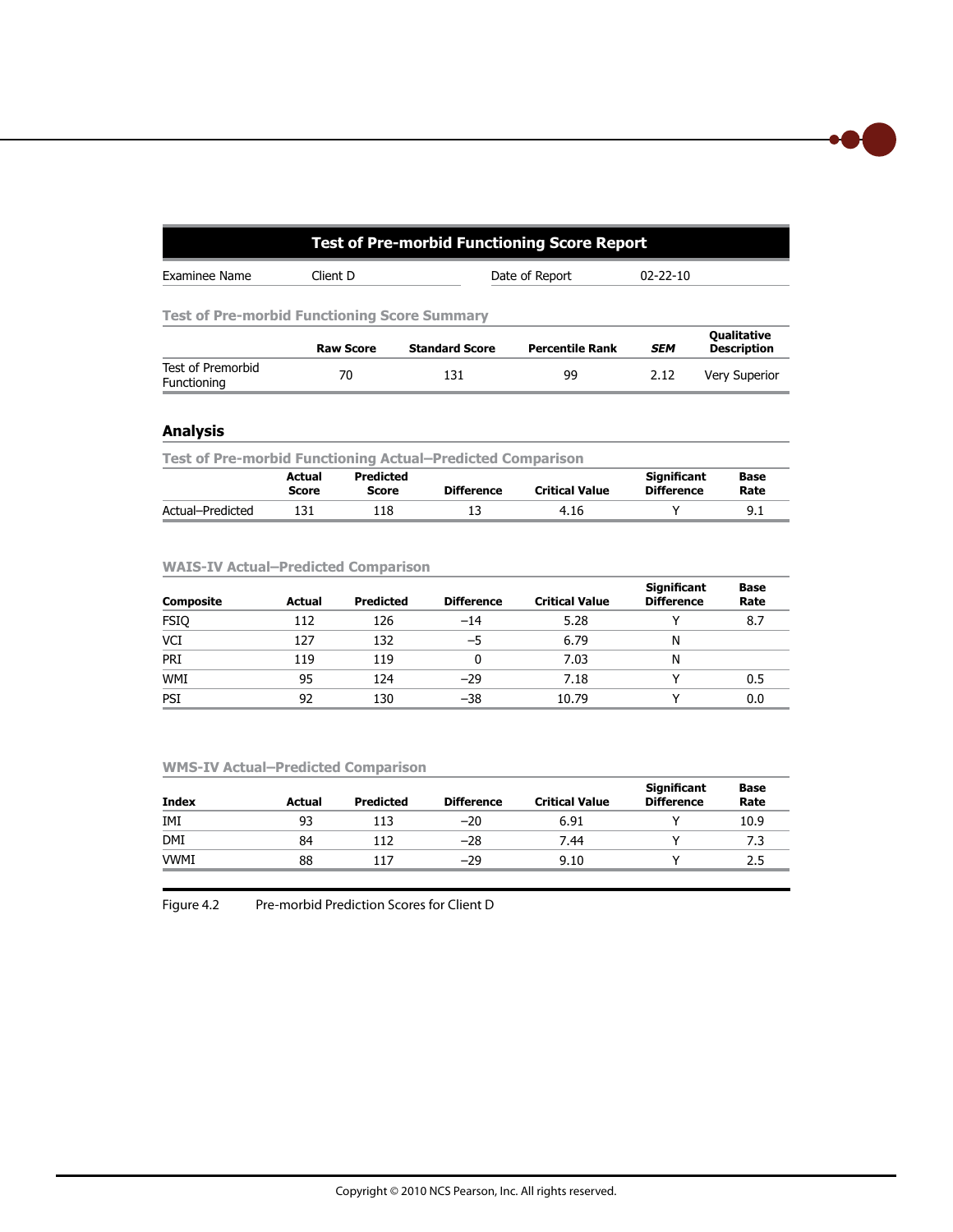| Test of Pre-morbid Functioning Score Report |                                                     |                       |                        |                |                                          |  |  |  |  |
|---------------------------------------------|-----------------------------------------------------|-----------------------|------------------------|----------------|------------------------------------------|--|--|--|--|
| Examinee Name                               | Client D                                            |                       | Date of Report         | $02 - 22 - 10$ |                                          |  |  |  |  |
|                                             | <b>Test of Pre-morbid Functioning Score Summary</b> |                       |                        |                |                                          |  |  |  |  |
|                                             | <b>Raw Score</b>                                    | <b>Standard Score</b> | <b>Percentile Rank</b> | <b>SEM</b>     | <b>Qualitative</b><br><b>Description</b> |  |  |  |  |
| Test of Premorbid<br>Functioning            | 70                                                  | 131                   | 99                     | 2.12           | <b>Very Superior</b>                     |  |  |  |  |

## **Analysis**

| <b>Test of Pre-morbid Functioning Actual–Predicted Comparison</b> |                        |                    |                   |                       |                                         |              |  |  |
|-------------------------------------------------------------------|------------------------|--------------------|-------------------|-----------------------|-----------------------------------------|--------------|--|--|
|                                                                   | Actual<br><b>Score</b> | Predicted<br>Score | <b>Difference</b> | <b>Critical Value</b> | <b>Significant</b><br><b>Difference</b> | Base<br>Rate |  |  |
| Actual-Predicted                                                  | 131                    | 118                | 13                | 4.16                  |                                         | 9.1          |  |  |

## **WAIS-IV Actual–Predicted Comparison**

| <b>Composite</b> | Actual | <b>Predicted</b> | <b>Difference</b> | <b>Critical Value</b> | <b>Significant</b><br><b>Difference</b> | Base<br>Rate |
|------------------|--------|------------------|-------------------|-----------------------|-----------------------------------------|--------------|
| <b>FSIQ</b>      | 112    | 126              | $-14$             | 5.28                  |                                         | 8.7          |
| <b>VCI</b>       | 127    | 132              | -5                | 6.79                  | N                                       |              |
| PRI              | 119    | 119              |                   | 7.03                  | N                                       |              |
| <b>WMI</b>       | 95     | 124              | $-29$             | 7.18                  |                                         | 0.5          |
| PSI              | 92     | 130              | $-38$             | 10.79                 |                                         | 0.0          |

# **WMS-IV Actual–Predicted Comparison**

| <b>Index</b> | Actual | <b>Predicted</b> | <b>Difference</b> | <b>Critical Value</b> | <b>Significant</b><br><b>Difference</b> | Base<br>Rate |
|--------------|--------|------------------|-------------------|-----------------------|-----------------------------------------|--------------|
| IMI          | 93     | 113              | $-20$             | 6.91                  |                                         | 10.9         |
| <b>DMI</b>   | 84     | 112              | $-28$             | 7.44                  |                                         | 7.3          |
| <b>VWMI</b>  | 88     | 117              | $-29$             | 9.10                  |                                         | 2.5          |

Figure 4.2 Pre-morbid Prediction Scores for Client D